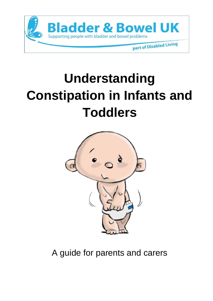

# **Understanding Constipation in Infants and Toddlers**



A guide for parents and carers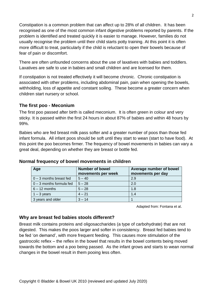Constipation is a common problem that can affect up to 28% of all children. It has been recognised as one of the most common infant digestive problems reported by parents. If the problem is identified and treated quickly it is easier to manage. However, families do not usually recognise the problem until their child starts potty training. At this point it is often more difficult to treat, particularly if the child is reluctant to open their bowels because of fear of pain or discomfort.

There are often unfounded concerns about the use of laxatives with babies and toddlers. Laxatives are safe to use in babies and small children and are licensed for them.

If constipation is not treated effectively it will become chronic. Chronic constipation is associated with other problems, including abdominal pain, pain when opening the bowels, withholding, loss of appetite and constant soiling. These become a greater concern when children start nursery or school.

## **The first poo - Meconium**

The first poo passed after birth is called meconium. It is often green in colour and very sticky. It is passed within the first 24 hours in about 87% of babies and within 48 hours by 99%.

Babies who are fed breast milk pass softer and a greater number of poos than those fed infant formula. All infant poos should be soft until they start to wean (start to have food). At this point the poo becomes firmer. The frequency of bowel movements in babies can vary a great deal, depending on whether they are breast or bottle fed.

| Age                        | <b>Number of bowel</b><br>movements per week | Average number of bowel<br>movements per day |
|----------------------------|----------------------------------------------|----------------------------------------------|
| $0 - 3$ months breast fed  | $5 - 40$                                     | 2.9                                          |
| $0 - 3$ months formula fed | $5 - 28$                                     | 2.0                                          |
| $6 - 12$ months            | $5 - 28$                                     | 1.8                                          |
| $1 - 3$ years              | $4 - 21$                                     | 1.4                                          |
| 3 years and older          | $3 - 14$                                     |                                              |

#### **Normal frequency of bowel movements in children**

Adapted from: Fontana et al.

## **Why are breast fed babies stools different?**

Breast milk contains proteins and oligosaccharides (a type of carbohydrate) that are not digested. This makes the poos larger and softer in consistency. Breast fed babies tend to be fed 'on demand', with more frequent feeding. This causes more stimulation of the gastrocolic reflex – the reflex in the bowel that results in the bowel contents being moved towards the bottom and a poo being passed. As the infant grows and starts to wean normal changes in the bowel result in them pooing less often.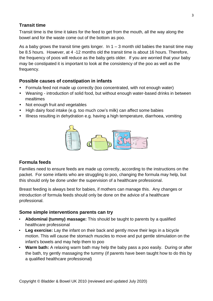## **Transit time**

Transit time is the time it takes for the feed to get from the mouth, all the way along the bowel and for the waste come out of the bottom as poo.

As a baby grows the transit time gets longer. In  $1 - 3$  month old babies the transit time may be 8.5 hours. However, at 4 -12 months old the transit time is about 16 hours. Therefore, the frequency of poos will reduce as the baby gets older. If you are worried that your baby may be constipated it is important to look at the consistency of the poo as well as the frequency.

# **Possible causes of constipation in infants**

- Formula feed not made up correctly (too concentrated, with not enough water)
- Weaning introduction of solid food, but without enough water-based drinks in between mealtimes
- Not enough fruit and vegetables
- High dairy food intake (e.g. too much cow's milk) can affect some babies
- Illness resulting in dehydration e.g. having a high temperature, diarrhoea, vomiting



## **Formula feeds**

Families need to ensure feeds are made up correctly, according to the instructions on the packet. For some infants who are struggling to poo, changing the formula may help, but this should only be done under the supervision of a healthcare professional.

Breast feeding is always best for babies, if mothers can manage this. Any changes or introduction of formula feeds should only be done on the advice of a healthcare professional.

# **Some simple interventions parents can try**

- **Abdominal (tummy) massage:** This should be taught to parents by a qualified healthcare professional
- **Leg exercise:** Lay the infant on their back and gently move their legs in a bicycle motion. This will cause the stomach muscles to move and put gentle stimulation on the infant's bowels and may help them to poo
- **Warm bath:** A relaxing warm bath may help the baby pass a poo easily. During or after the bath, try gently massaging the tummy (if parents have been taught how to do this by a qualified healthcare professional)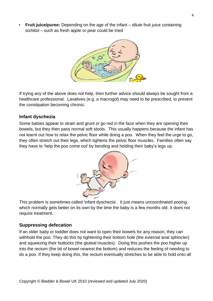**Fruit juice/puree:** Depending on the age of the infant – dilute fruit juice containing sorbitol – such as fresh apple or pear could be tried



If trying any of the above does not help, then further advice should always be sought from a healthcare professional. Laxatives (e.g. a macrogol) may need to be prescribed, to prevent the constipation becoming chronic.

### **Infant dyschezia**

Some babies appear to strain and grunt or go red in the face when they are opening their bowels, but they then pass normal soft stools. This usually happens because the infant has not learnt out how to relax the pelvic floor while doing a poo. When they feel the urge to go, they often stretch out their legs, which tightens the pelvic floor muscles. Families often say they have to 'help the poo come out' by bending and holding their baby's legs up.



This problem is sometimes called 'infant dyschezia'. It just means uncoordinated pooing, which normally gets better on its own by the time the baby is a few months old. It does not require treatment.

#### **Suppressing defecation**

If an older baby or toddler does not want to open their bowels for any reason, they can withhold the poo. They do this by tightening their bottom hole (the external anal sphincter) and squeezing their buttocks (the gluteal muscles). Doing this pushes the poo higher up into the rectum (the bit of bowel nearest the bottom) and reduces the feeling of needing to do a poo. If they keep doing this, the rectum eventually stretches to be able to hold onto all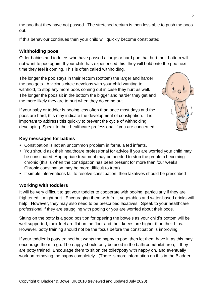the poo that they have not passed. The stretched rectum is then less able to push the poos out.

If this behaviour continues then your child will quickly become constipated.

# **Withholding poos**

Older babies and toddlers who have passed a large or hard poo that hurt their bottom will not want to poo again. If your child has experienced this, they will hold onto the poo next time they feel it coming. This is often called withholding.

The longer the poo stays in their rectum (bottom) the larger and harder the poo gets. A vicious circle develops with your child wanting to withhold, to stop any more poos coming out in case they hurt as well. The longer the poos sit in the bottom the bigger and harder they get and the more likely they are to hurt when they do come out.

If your baby or toddler is pooing less often than once most days and the poos are hard, this may indicate the development of constipation. It is important to address this quickly to prevent the cycle of withholding developing. Speak to their healthcare professional if you are concerned.



## **Key messages for babies**

Constipation is not an uncommon problem in formula fed infants.

Copyright © Bladder & Bowel UK 2010 (reviewed and updated July 2020)

- You should ask their healthcare professional for advice if you are worried your child may be constipated. Appropriate treatment may be needed to stop the problem becoming chronic (this is when the constipation has been present for more than four weeks. Chronic constipation may be more difficult to treat)
- If simple interventions fail to resolve constipation, then laxatives should be prescribed

## **Working with toddlers**

It will be very difficult to get your toddler to cooperate with pooing, particularly if they are frightened it might hurt. Encouraging them with fruit, vegetables and water-based drinks will help. However, they may also need to be prescribed laxatives. Speak to your healthcare professional if they are struggling with pooing or you are worried about their poos.

Sitting on the potty is a good position for opening the bowels as your child's bottom will be well supported, their feet are flat on the floor and their knees are higher than their hips. However, potty training should not be the focus before the constipation is improving.

If your toddler is potty trained but wants the nappy to poo, then let them have it, as this may encourage them to go. The nappy should only be used in the bathroom/toilet area, if they are potty trained. Encourage them to sit on the toilet/potty with nappy on, and eventually work on removing the nappy completely. (There is more information on this in the Bladder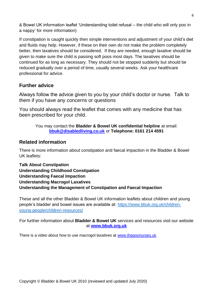& Bowel UK information leaflet 'Understanding toilet refusal – the child who will only poo in a nappy' for more information)

If constipation is caught quickly then simple interventions and adjustment of your child's diet and fluids may help. However, if these on their own do not make the problem completely better, then laxatives should be considered. If they are needed, enough laxative should be given to make sure the child is passing soft poos most days. The laxatives should be continued for as long as necessary. They should not be stopped suddenly but should be reduced gradually over a period of time, usually several weeks. Ask your healthcare professional for advice.

# **Further advice**

Always follow the advice given to you by your child's doctor or nurse. Talk to them if you have any concerns or questions

You should always read the leaflet that comes with any medicine that has been prescribed for your child.

#### You may contact the **Bladder & Bowel UK confidential helpline** at email: **[bbuk@disabledliving.co.uk](mailto:bbuk@disabledliving.co.uk)** or **Telephone: 0161 214 4591**

# **Related information**

There is more information about constipation and faecal impaction in the Bladder & Bowel UK leaflets:

**Talk About Constipation Understanding Childhood Constipation Understanding Faecal Impaction Understanding Macrogol Laxatives Understanding the Management of Constipation and Faecal Impaction**

These and all the other Bladder & Bowel UK information leaflets about children and young people's bladder and bowel issues are available at: [https://www.bbuk.org.uk/children](https://www.bbuk.org.uk/children-young-people/children-resources/)[young-people/children-resources/](https://www.bbuk.org.uk/children-young-people/children-resources/)

For further information about **Bladder & Bowel UK** services and resources visit our website at **[www.bbuk.org.uk](http://www.bbukuk.co.uk/)**

There is a video about how to use macrogol laxatives at [www.thepoonurses.uk](http://www.thepoonurses.uk/)